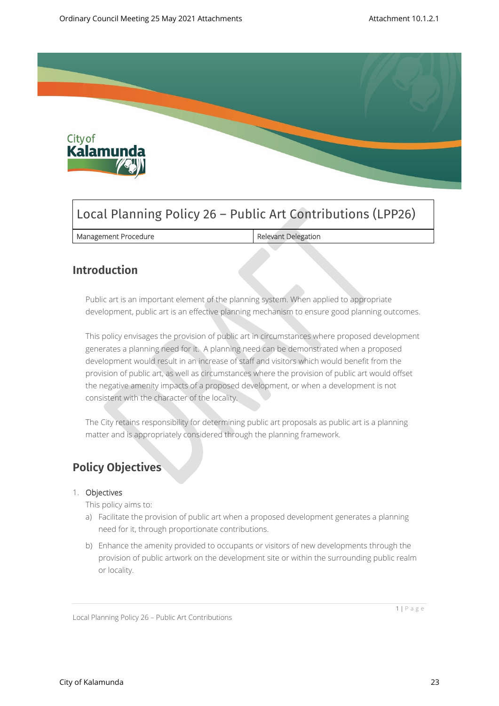

# Local Planning Policy 26 – Public Art Contributions (LPP26)

| Management Procedure | Relevant Delegation |
|----------------------|---------------------|
|----------------------|---------------------|

## **Introduction**

Public art is an important element of the planning system. When applied to appropriate development, public art is an effective planning mechanism to ensure good planning outcomes.

This policy envisages the provision of public art in circumstances where proposed development generates a planning need for it. A planning need can be demonstrated when a proposed development would result in an increase of staff and visitors which would benefit from the provision of public art, as well as circumstances where the provision of public art would offset the negative amenity impacts of a proposed development, or when a development is not consistent with the character of the locality.

The City retains responsibility for determining public art proposals as public art is a planning matter and is appropriately considered through the planning framework.

## **Policy Objectives**

#### 1. **Objectives**

This policy aims to:

- a) Facilitate the provision of public art when a proposed development generates a planning need for it, through proportionate contributions.
- b) Enhance the amenity provided to occupants or visitors of new developments through the provision of public artwork on the development site or within the surrounding public realm or locality.

1 | P a g e

Local Planning Policy 26 – Public Art Contributions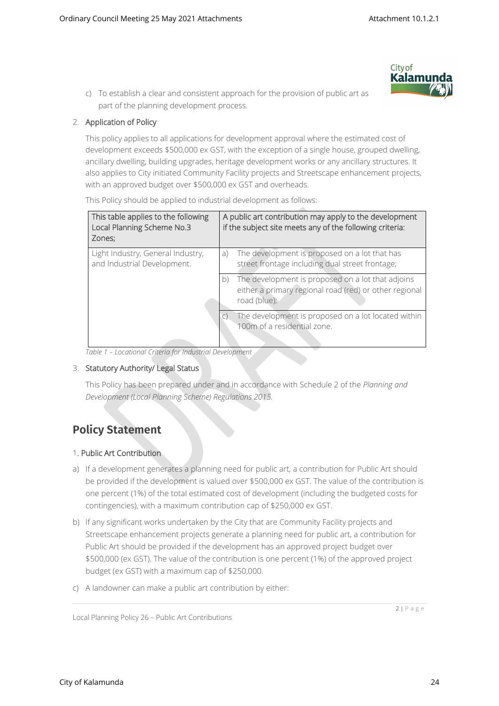c) To establish a clear and consistent approach for the provision of public art as part of the planning development process.



#### 2. **Application of Policy**

This policy applies to all applications for development approval where the estimated cost of development exceeds \$500,000 ex GST, with the exception of a single house, grouped dwelling, ancillary dwelling, building upgrades, heritage development works or any ancillary structures. It also applies to City initiated Community Facility projects and Streetscape enhancement projects, with an approved budget over \$500,000 ex GST and overheads.

This Policy should be applied to industrial development as follows:

| This table applies to the following<br>Local Planning Scheme No.3<br>Zones: | A public art contribution may apply to the development<br>if the subject site meets any of the following criteria: |                                                                                                                             |
|-----------------------------------------------------------------------------|--------------------------------------------------------------------------------------------------------------------|-----------------------------------------------------------------------------------------------------------------------------|
| Light Industry, General Industry,<br>and Industrial Development.            | a)                                                                                                                 | The development is proposed on a lot that has<br>street frontage including dual street frontage;                            |
|                                                                             | b)                                                                                                                 | The development is proposed on a lot that adjoins<br>either a primary regional road (red) or other regional<br>road (blue); |
|                                                                             |                                                                                                                    | The development is proposed on a lot located within<br>100m of a residential zone.                                          |

*Table 1 – Locational Criteria for Industrial Development*

#### 3. **Statutory Authority/ Legal Status**

This Policy has been prepared under and in accordance with Schedule 2 of the *Planning and Development (Local Planning Scheme) Regulations 2015.*

# **Policy Statement**

#### 1**. Public Art Contribution**

- a) If a development generates a planning need for public art, a contribution for Public Art should be provided if the development is valued over \$500,000 ex GST. The value of the contribution is one percent (1%) of the total estimated cost of development (including the budgeted costs for contingencies), with a maximum contribution cap of \$250,000 ex GST.
- b) If any significant works undertaken by the City that are Community Facility projects and Streetscape enhancement projects generate a planning need for public art, a contribution for Public Art should be provided if the development has an approved project budget over \$500,000 (ex GST). The value of the contribution is one percent (1%) of the approved project budget (ex GST) with a maximum cap of \$250,000.
- c) A landowner can make a public art contribution by either:

2 | P a g e

Local Planning Policy 26 – Public Art Contributions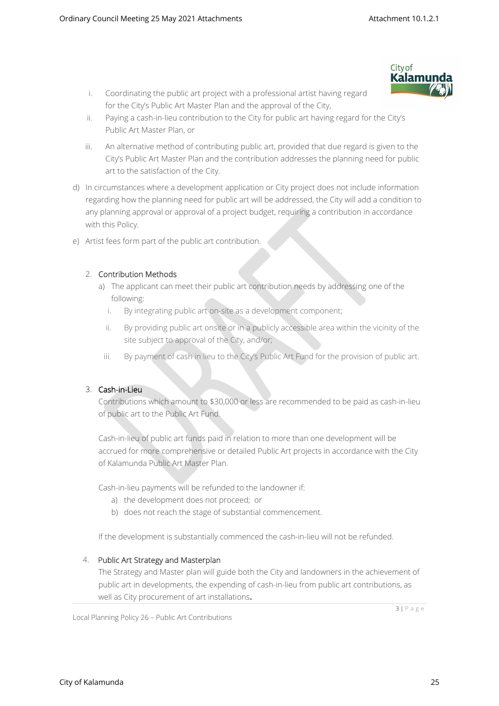**City of** Kalamı

- i. Coordinating the public art project with a professional artist having regard for the City's Public Art Master Plan and the approval of the City,
- ii. Paying a cash-in-lieu contribution to the City for public art having regard for the City's Public Art Master Plan, or
- iii. An alternative method of contributing public art, provided that due regard is given to the City's Public Art Master Plan and the contribution addresses the planning need for public art to the satisfaction of the City.
- d) In circumstances where a development application or City project does not include information regarding how the planning need for public art will be addressed, the City will add a condition to any planning approval or approval of a project budget, requiring a contribution in accordance with this Policy.
- e) Artist fees form part of the public art contribution.

### 2. **Contribution Methods**

- a) The applicant can meet their public art contribution needs by addressing one of the following:
	- i. By integrating public art on-site as a development component;
	- ii. By providing public art onsite or in a publicly accessible area within the vicinity of the site subject to approval of the City, and/or;
	- iii. By payment of cash in lieu to the City's Public Art Fund for the provision of public art.

### 3. **Cash-in-Lieu**

Contributions which amount to \$30,000 or less are recommended to be paid as cash-in-lieu of public art to the Public Art Fund.

Cash-in-lieu of public art funds paid in relation to more than one development will be accrued for more comprehensive or detailed Public Art projects in accordance with the City of Kalamunda Public Art Master Plan.

Cash-in-lieu payments will be refunded to the landowner if:

- a) the development does not proceed; or
- b) does not reach the stage of substantial commencement.

If the development is substantially commenced the cash-in-lieu will not be refunded.

### 4. **Public Art Strategy and Masterplan**

The Strategy and Master plan will guide both the City and landowners in the achievement of public art in developments, the expending of cash-in-lieu from public art contributions, as well as City procurement of art installations.

Local Planning Policy 26 – Public Art Contributions

 $3 | P \text{ a } g \text{ e}$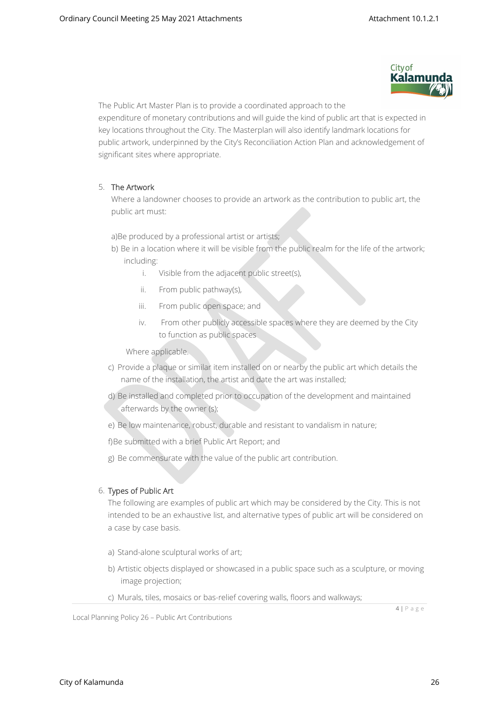

The Public Art Master Plan is to provide a coordinated approach to the expenditure of monetary contributions and will guide the kind of public art that is expected in key locations throughout the City. The Masterplan will also identify landmark locations for public artwork, underpinned by the City's Reconciliation Action Plan and acknowledgement of significant sites where appropriate.

#### 5. **The Artwork**

Where a landowner chooses to provide an artwork as the contribution to public art, the public art must:

a)Be produced by a professional artist or artists;

- b) Be in a location where it will be visible from the public realm for the life of the artwork; including:
	- i. Visible from the adjacent public street(s),
	- ii. From public pathway(s),
	- iii. From public open space; and
	- iv. From other publicly accessible spaces where they are deemed by the City to function as public spaces

Where applicable.

- c) Provide a plaque or similar item installed on or nearby the public art which details the name of the installation, the artist and date the art was installed;
- d) Be installed and completed prior to occupation of the development and maintained afterwards by the owner (s);
- e) Be low maintenance, robust, durable and resistant to vandalism in nature;

f)Be submitted with a brief Public Art Report; and

g) Be commensurate with the value of the public art contribution.

#### 6. **Types of Public Art**

The following are examples of public art which may be considered by the City. This is not intended to be an exhaustive list, and alternative types of public art will be considered on a case by case basis.

- a) Stand-alone sculptural works of art;
- b) Artistic objects displayed or showcased in a public space such as a sculpture, or moving image projection;
- c) Murals, tiles, mosaics or bas-relief covering walls, floors and walkways;

4 | P a g e

Local Planning Policy 26 – Public Art Contributions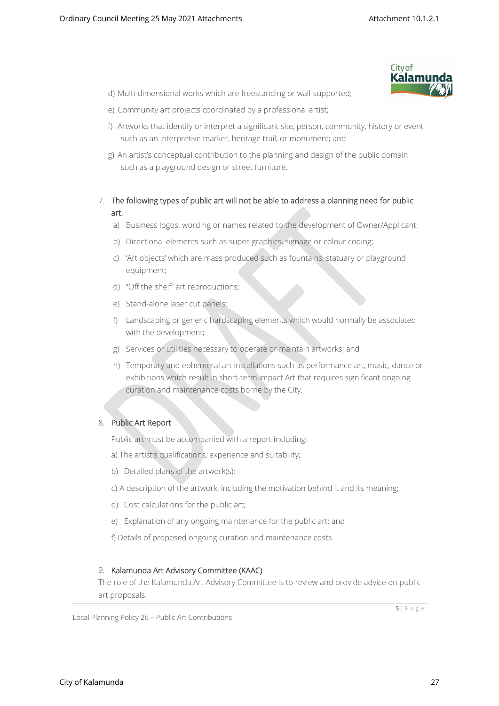

- d) Multi-dimensional works which are freestanding or wall-supported;
- e) Community art projects coordinated by a professional artist;
- f) Artworks that identify or interpret a significant site, person, community, history or event such as an interpretive marker, heritage trail, or monument; and
- g) An artist's conceptual contribution to the planning and design of the public domain such as a playground design or street furniture.
- 7. **The following types of public art will not be able to address a planning need for public art.** 
	- a) Business logos, wording or names related to the development of Owner/Applicant;
	- b) Directional elements such as super-graphics, signage or colour coding;
	- c) 'Art objects' which are mass produced such as fountains, statuary or playground equipment;
	- d) "Off the shelf" art reproductions;
	- e) Stand-alone laser cut panels;
	- f) Landscaping or generic hardscaping elements which would normally be associated with the development;
	- g) Services or utilities necessary to operate or maintain artworks; and
	- h) Temporary and ephemeral art installations such as performance art, music, dance or exhibitions which result in short-term impact Art that requires significant ongoing curation and maintenance costs borne by the City.

#### 8. **Public Art Report**

Public art must be accompanied with a report including:

- a) The artist's qualifications, experience and suitability;
- b) Detailed plans of the artwork(s);
- c) A description of the artwork, including the motivation behind it and its meaning;
- d) Cost calculations for the public art;
- e) Explanation of any ongoing maintenance for the public art; and

f) Details of proposed ongoing curation and maintenance costs.

#### 9. **Kalamunda Art Advisory Committee (KAAC)**

The role of the Kalamunda Art Advisory Committee is to review and provide advice on public art proposals.

Local Planning Policy 26 – Public Art Contributions

City of Kalamunda 27

5 | P a g e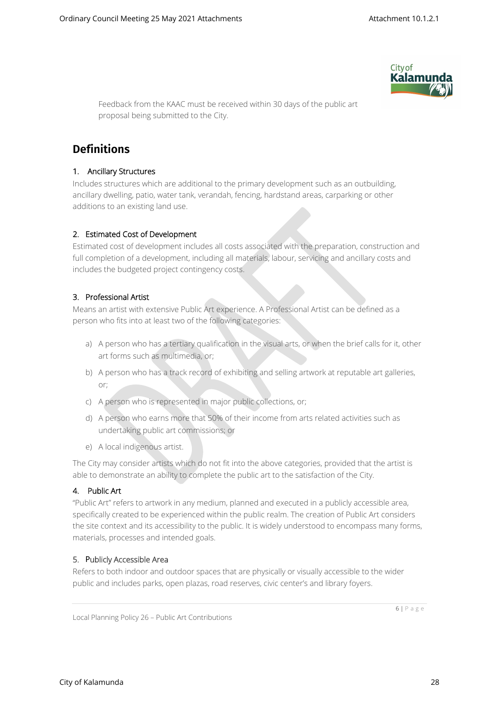

Feedback from the KAAC must be received within 30 days of the public art proposal being submitted to the City.

# **Definitions**

#### **1. Ancillary Structures**

Includes structures which are additional to the primary development such as an outbuilding, ancillary dwelling, patio, water tank, verandah, fencing, hardstand areas, carparking or other additions to an existing land use.

#### **2. Estimated Cost of Development**

Estimated cost of development includes all costs associated with the preparation, construction and full completion of a development, including all materials, labour, servicing and ancillary costs and includes the budgeted project contingency costs.

#### **3. Professional Artist**

Means an artist with extensive Public Art experience. A Professional Artist can be defined as a person who fits into at least two of the following categories:

- a) A person who has a tertiary qualification in the visual arts, or when the brief calls for it, other art forms such as multimedia, or;
- b) A person who has a track record of exhibiting and selling artwork at reputable art galleries, or;
- c) A person who is represented in major public collections, or;
- d) A person who earns more that 50% of their income from arts related activities such as undertaking public art commissions; or
- e) A local indigenous artist.

The City may consider artists which do not fit into the above categories, provided that the artist is able to demonstrate an ability to complete the public art to the satisfaction of the City.

#### **4. Public Art**

"Public Art" refers to artwork in any medium, planned and executed in a publicly accessible area, specifically created to be experienced within the public realm. The creation of Public Art considers the site context and its accessibility to the public. It is widely understood to encompass many forms, materials, processes and intended goals.

#### **5.** P**ublicly Accessible Area**

Refers to both indoor and outdoor spaces that are physically or visually accessible to the wider public and includes parks, open plazas, road reserves, civic center's and library foyers.

Local Planning Policy 26 – Public Art Contributions

6 | P a g e